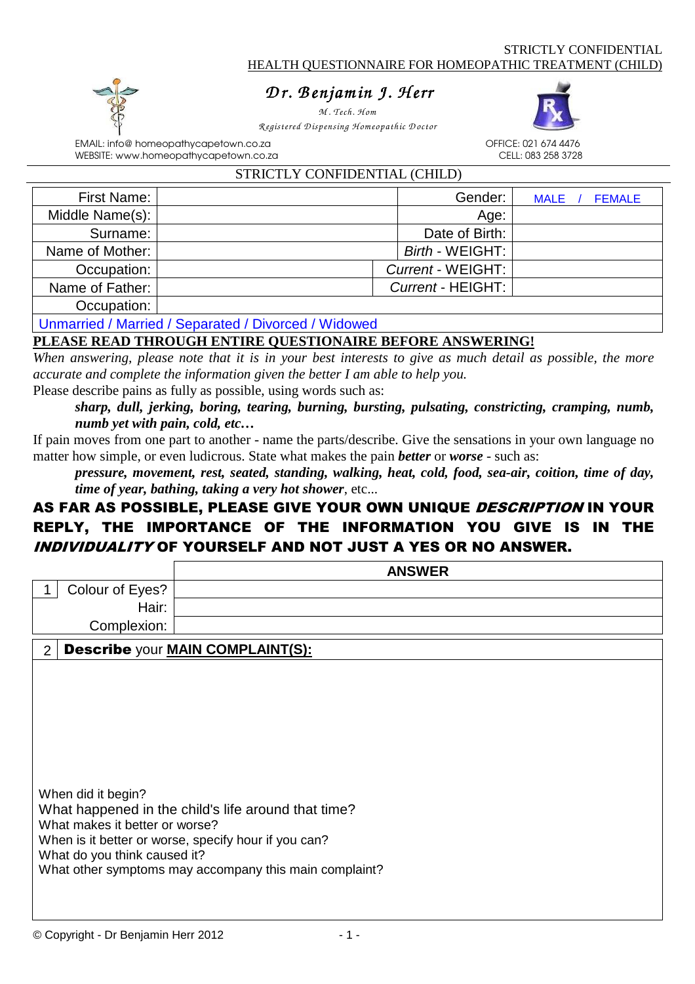

# *D r . B enjam in J. H err enjam err*

*M . Tech. H om R egistered D ispensing H om eopathic D octor* 

STRICTLY CONFIDENTIAL (CHILD)



EMAIL: info@ homeopathycapetown.co.za OFFICE: 021 674 4476 WEBSITE: www.homeopathycapetown.co.za

| STAICTLE CONFIDENTIAL (CHILD) |  |                   |                              |  |  |
|-------------------------------|--|-------------------|------------------------------|--|--|
| <b>First Name:</b>            |  | Gender:           | <b>FEMALE</b><br><b>MALE</b> |  |  |
| Middle Name(s):               |  | Age:              |                              |  |  |
| Surname:                      |  | Date of Birth:    |                              |  |  |
| Name of Mother:               |  | Birth - WEIGHT:   |                              |  |  |
| Occupation:                   |  | Current - WEIGHT: |                              |  |  |
| Name of Father:               |  | Current - HEIGHT: |                              |  |  |
| Occupation:                   |  |                   |                              |  |  |
|                               |  |                   |                              |  |  |

Unmarried / Married / Separated / Divorced / Widowed

### **PLEASE READ THROUGH ENTIRE QUESTIONAIRE BEFORE ANSWERING!**

*When answering, please note that it is in your best interests to give as much detail as possible, the more accurate and complete the information given the better I am able to help you.*

Please describe pains as fully as possible, using words such as:

*sharp, dull, jerking, boring, tearing, burning, bursting, pulsating, constricting, cramping, numb, numb yet with pain, cold, etc…*

If pain moves from one part to another - name the parts/describe. Give the sensations in your own language no matter how simple, or even ludicrous. State what makes the pain *better* or *worse* - such as:

*pressure, movement, rest, seated, standing, walking, heat, cold, food, sea-air, coition, time of day, time of year, bathing, taking a very hot shower*, etc...

## AS FAR AS POSSIBLE, PLEASE GIVE YOUR OWN UNIQUE DESCRIPTION IN YOUR REPLY, THE IMPORTANCE OF THE INFORMATION YOU GIVE IS IN THE INDIVIDUALITY OF YOURSELF AND NOT JUST A YES OR NO ANSWER.

|                                                                                      | <b>ANSWER</b>                                                                                                                                                         |
|--------------------------------------------------------------------------------------|-----------------------------------------------------------------------------------------------------------------------------------------------------------------------|
| Colour of Eyes?                                                                      |                                                                                                                                                                       |
| Hair:                                                                                |                                                                                                                                                                       |
| Complexion:                                                                          |                                                                                                                                                                       |
| $\overline{2}$                                                                       | <b>Describe your MAIN COMPLAINT(S):</b>                                                                                                                               |
|                                                                                      |                                                                                                                                                                       |
|                                                                                      |                                                                                                                                                                       |
|                                                                                      |                                                                                                                                                                       |
|                                                                                      |                                                                                                                                                                       |
| When did it begin?<br>What makes it better or worse?<br>What do you think caused it? | What happened in the child's life around that time?<br>When is it better or worse, specify hour if you can?<br>What other symptoms may accompany this main complaint? |
|                                                                                      |                                                                                                                                                                       |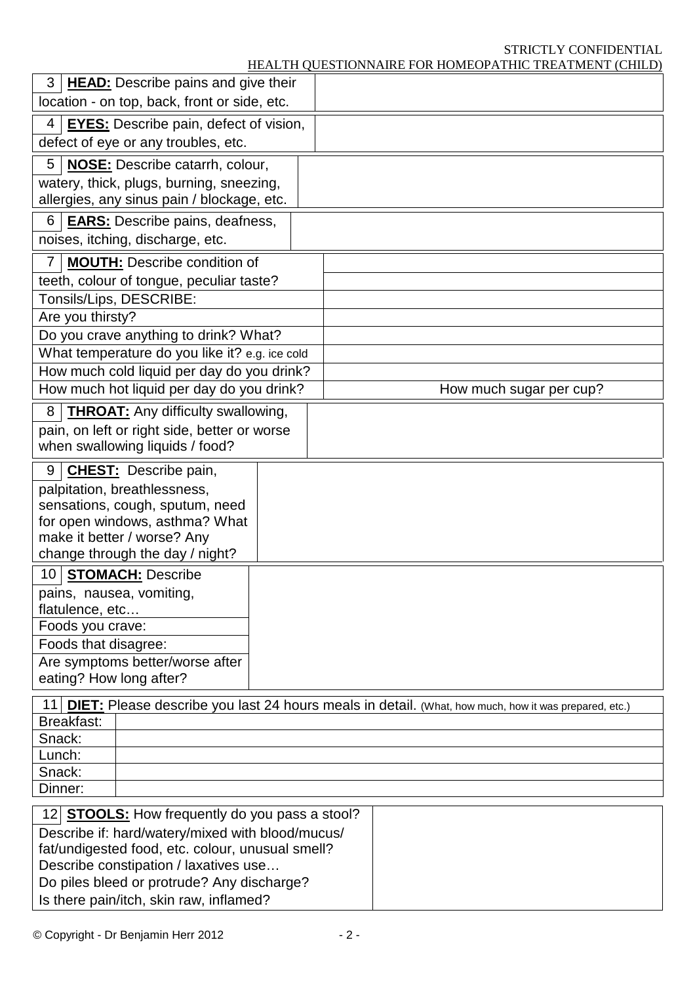## STRICTLY CONFIDENTIAL

| <b>HEAD:</b> Describe pains and give their<br>3       |  |  |                                                                                                         |
|-------------------------------------------------------|--|--|---------------------------------------------------------------------------------------------------------|
| location - on top, back, front or side, etc.          |  |  |                                                                                                         |
| <b>EYES:</b> Describe pain, defect of vision,<br>4    |  |  |                                                                                                         |
| defect of eye or any troubles, etc.                   |  |  |                                                                                                         |
| 5<br><b>NOSE:</b> Describe catarrh, colour,           |  |  |                                                                                                         |
| watery, thick, plugs, burning, sneezing,              |  |  |                                                                                                         |
| allergies, any sinus pain / blockage, etc.            |  |  |                                                                                                         |
| 6<br><b>EARS:</b> Describe pains, deafness,           |  |  |                                                                                                         |
| noises, itching, discharge, etc.                      |  |  |                                                                                                         |
| <b>MOUTH:</b> Describe condition of<br>7              |  |  |                                                                                                         |
| teeth, colour of tongue, peculiar taste?              |  |  |                                                                                                         |
| Tonsils/Lips, DESCRIBE:                               |  |  |                                                                                                         |
| Are you thirsty?                                      |  |  |                                                                                                         |
| Do you crave anything to drink? What?                 |  |  |                                                                                                         |
| What temperature do you like it? e.g. ice cold        |  |  |                                                                                                         |
| How much cold liquid per day do you drink?            |  |  |                                                                                                         |
| How much hot liquid per day do you drink?             |  |  | How much sugar per cup?                                                                                 |
| 8<br><b>THROAT:</b> Any difficulty swallowing,        |  |  |                                                                                                         |
| pain, on left or right side, better or worse          |  |  |                                                                                                         |
| when swallowing liquids / food?                       |  |  |                                                                                                         |
| 9<br><b>CHEST:</b> Describe pain,                     |  |  |                                                                                                         |
| palpitation, breathlessness,                          |  |  |                                                                                                         |
| sensations, cough, sputum, need                       |  |  |                                                                                                         |
| for open windows, asthma? What                        |  |  |                                                                                                         |
| make it better / worse? Any                           |  |  |                                                                                                         |
| change through the day / night?                       |  |  |                                                                                                         |
| 10 <sub>l</sub><br><b>STOMACH: Describe</b>           |  |  |                                                                                                         |
| pains, nausea, vomiting,                              |  |  |                                                                                                         |
| flatulence, etc                                       |  |  |                                                                                                         |
| Foods you crave:                                      |  |  |                                                                                                         |
| Foods that disagree:                                  |  |  |                                                                                                         |
| Are symptoms better/worse after                       |  |  |                                                                                                         |
| eating? How long after?                               |  |  |                                                                                                         |
|                                                       |  |  | 11 DIET: Please describe you last 24 hours meals in detail. (What, how much, how it was prepared, etc.) |
| Breakfast:                                            |  |  |                                                                                                         |
| Snack:                                                |  |  |                                                                                                         |
| Lunch:                                                |  |  |                                                                                                         |
| Snack:                                                |  |  |                                                                                                         |
| Dinner:                                               |  |  |                                                                                                         |
| 12 <b>STOOLS:</b> How frequently do you pass a stool? |  |  |                                                                                                         |
| Describe if: hard/watery/mixed with blood/mucus/      |  |  |                                                                                                         |
| fat/undigested food, etc. colour, unusual smell?      |  |  |                                                                                                         |
| Describe constipation / laxatives use                 |  |  |                                                                                                         |
| Do piles bleed or protrude? Any discharge?            |  |  |                                                                                                         |
| Is there pain/itch, skin raw, inflamed?               |  |  |                                                                                                         |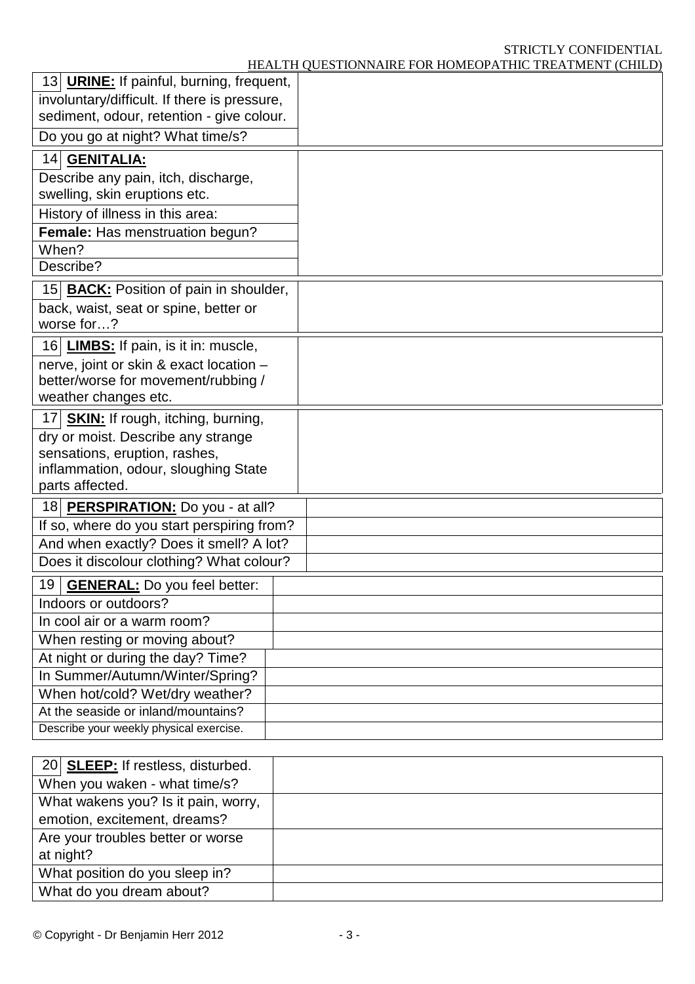# STRICTLY CONFIDENTIAL

| HEALTH QUESTIONNAIRE FOR HOMEOPATHIC TREATMENT (CHILD) |  |
|--------------------------------------------------------|--|
|--------------------------------------------------------|--|

|                                                                                           | <u>HEALTH QUESTIONNAINE FOR HOMEOI ATHIC TNEATMENT (CHIED)</u> |
|-------------------------------------------------------------------------------------------|----------------------------------------------------------------|
| 13 URINE: If painful, burning, frequent,                                                  |                                                                |
| involuntary/difficult. If there is pressure,<br>sediment, odour, retention - give colour. |                                                                |
| Do you go at night? What time/s?                                                          |                                                                |
| 14 GENITALIA:                                                                             |                                                                |
| Describe any pain, itch, discharge,                                                       |                                                                |
| swelling, skin eruptions etc.                                                             |                                                                |
| History of illness in this area:                                                          |                                                                |
| Female: Has menstruation begun?                                                           |                                                                |
| When?                                                                                     |                                                                |
| Describe?                                                                                 |                                                                |
| 15 <b>BACK:</b> Position of pain in shoulder,                                             |                                                                |
| back, waist, seat or spine, better or                                                     |                                                                |
| worse for?                                                                                |                                                                |
| 16 LIMBS: If pain, is it in: muscle,                                                      |                                                                |
| nerve, joint or skin & exact location -                                                   |                                                                |
| better/worse for movement/rubbing /                                                       |                                                                |
| weather changes etc.                                                                      |                                                                |
| 17 SKIN: If rough, itching, burning,                                                      |                                                                |
| dry or moist. Describe any strange<br>sensations, eruption, rashes,                       |                                                                |
| inflammation, odour, sloughing State                                                      |                                                                |
| parts affected.                                                                           |                                                                |
| 18 PERSPIRATION: Do you - at all?                                                         |                                                                |
| If so, where do you start perspiring from?                                                |                                                                |
| And when exactly? Does it smell? A lot?                                                   |                                                                |
| Does it discolour clothing? What colour?                                                  |                                                                |
| <b>GENERAL:</b> Do you feel better:<br>19                                                 |                                                                |
| Indoors or outdoors?                                                                      |                                                                |
| In cool air or a warm room?                                                               |                                                                |
| When resting or moving about?                                                             |                                                                |
| At night or during the day? Time?                                                         |                                                                |
| In Summer/Autumn/Winter/Spring?                                                           |                                                                |
| When hot/cold? Wet/dry weather?                                                           |                                                                |
| At the seaside or inland/mountains?                                                       |                                                                |
| Describe your weekly physical exercise.                                                   |                                                                |
|                                                                                           |                                                                |
| 20 SLEEP: If restless, disturbed.                                                         |                                                                |
| When you waken - what time/s?                                                             |                                                                |
| What wakene you? Is it nain worry                                                         |                                                                |

| <b>LO DEEE</b> . II ICONCOS, GISTAINED. |  |
|-----------------------------------------|--|
| When you waken - what time/s?           |  |
| What wakens you? Is it pain, worry,     |  |
| emotion, excitement, dreams?            |  |
| Are your troubles better or worse       |  |
| at night?                               |  |
| What position do you sleep in?          |  |
| What do you dream about?                |  |
|                                         |  |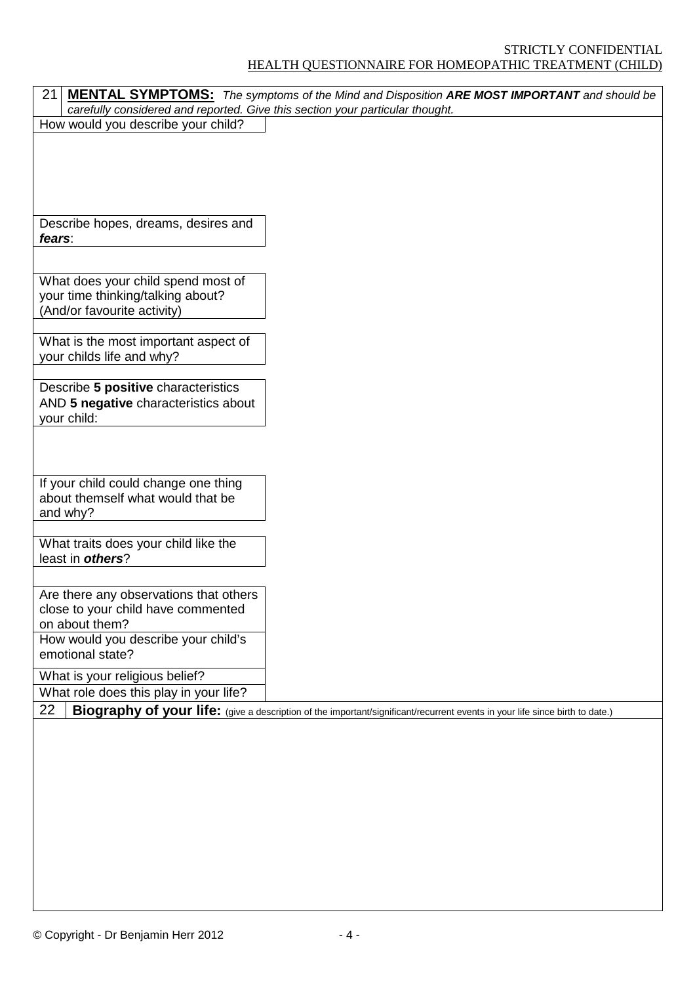### STRICTLY CONFIDENTIAL HEALTH QUESTIONNAIRE FOR HOMEOPATHIC TREATMENT (CHILD)

| 21                                                                            | <b>MENTAL SYMPTOMS:</b> The symptoms of the Mind and Disposition ARE MOST IMPORTANT and should be                            |
|-------------------------------------------------------------------------------|------------------------------------------------------------------------------------------------------------------------------|
| carefully considered and reported. Give this section your particular thought. |                                                                                                                              |
| How would you describe your child?                                            |                                                                                                                              |
|                                                                               |                                                                                                                              |
|                                                                               |                                                                                                                              |
|                                                                               |                                                                                                                              |
|                                                                               |                                                                                                                              |
|                                                                               |                                                                                                                              |
| Describe hopes, dreams, desires and                                           |                                                                                                                              |
| fears:                                                                        |                                                                                                                              |
|                                                                               |                                                                                                                              |
|                                                                               |                                                                                                                              |
| What does your child spend most of                                            |                                                                                                                              |
| your time thinking/talking about?                                             |                                                                                                                              |
| (And/or favourite activity)                                                   |                                                                                                                              |
|                                                                               |                                                                                                                              |
| What is the most important aspect of                                          |                                                                                                                              |
| your childs life and why?                                                     |                                                                                                                              |
|                                                                               |                                                                                                                              |
| Describe 5 positive characteristics                                           |                                                                                                                              |
| AND 5 negative characteristics about                                          |                                                                                                                              |
| your child:                                                                   |                                                                                                                              |
|                                                                               |                                                                                                                              |
|                                                                               |                                                                                                                              |
|                                                                               |                                                                                                                              |
|                                                                               |                                                                                                                              |
| If your child could change one thing                                          |                                                                                                                              |
| about themself what would that be                                             |                                                                                                                              |
| and why?                                                                      |                                                                                                                              |
|                                                                               |                                                                                                                              |
| What traits does your child like the                                          |                                                                                                                              |
| least in others?                                                              |                                                                                                                              |
|                                                                               |                                                                                                                              |
| Are there any observations that others                                        |                                                                                                                              |
| close to your child have commented                                            |                                                                                                                              |
| on about them?                                                                |                                                                                                                              |
| How would you describe your child's                                           |                                                                                                                              |
| emotional state?                                                              |                                                                                                                              |
| What is your religious belief?                                                |                                                                                                                              |
| What role does this play in your life?                                        |                                                                                                                              |
| 22                                                                            | Biography of your life: (give a description of the important/significant/recurrent events in your life since birth to date.) |
|                                                                               |                                                                                                                              |
|                                                                               |                                                                                                                              |
|                                                                               |                                                                                                                              |
|                                                                               |                                                                                                                              |
|                                                                               |                                                                                                                              |
|                                                                               |                                                                                                                              |
|                                                                               |                                                                                                                              |
|                                                                               |                                                                                                                              |
|                                                                               |                                                                                                                              |
|                                                                               |                                                                                                                              |
|                                                                               |                                                                                                                              |